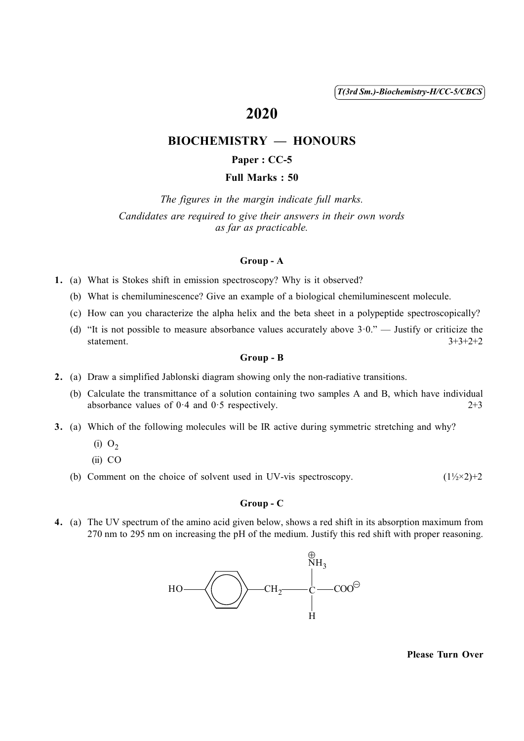( 1 ) *T(3rd Sm.)-Biochemistry-H/CC-5/CBCS*

# 2020

# BIOCHEMISTRY — HONOURS

## Paper : CC-5

#### Full Marks : 50

*The figures in the margin indicate full marks. Candidates are required to give their answers in their own words as far as practicable.*

#### Group - A

- 1. (a) What is Stokes shift in emission spectroscopy? Why is it observed?
	- (b) What is chemiluminescence? Give an example of a biological chemiluminescent molecule.
	- (c) How can you characterize the alpha helix and the beta sheet in a polypeptide spectroscopically?
	- (d) "It is not possible to measure absorbance values accurately above  $3.0$ ." Justify or criticize the statement.<br> $3+3+2+2$ statement.  $3+3+2+2$

#### Group - B

- 2. (a) Draw a simplified Jablonski diagram showing only the non-radiative transitions.
	- (b) Calculate the transmittance of a solution containing two samples A and B, which have individual absorbance values of  $0.4$  and  $0.5$  respectively. 2+3
- 3. (a) Which of the following molecules will be IR active during symmetric stretching and why?
	- $(i)$  O<sub>2</sub>
	- (ii) CO
	- (b) Comment on the choice of solvent used in UV-vis spectroscopy.  $(1\frac{1}{2} \times 2) + 2$

#### Group - C

4. (a) The UV spectrum of the amino acid given below, shows a red shift in its absorption maximum from 270 nm to 295 nm on increasing the pH of the medium. Justify this red shift with proper reasoning.



Please Turn Over